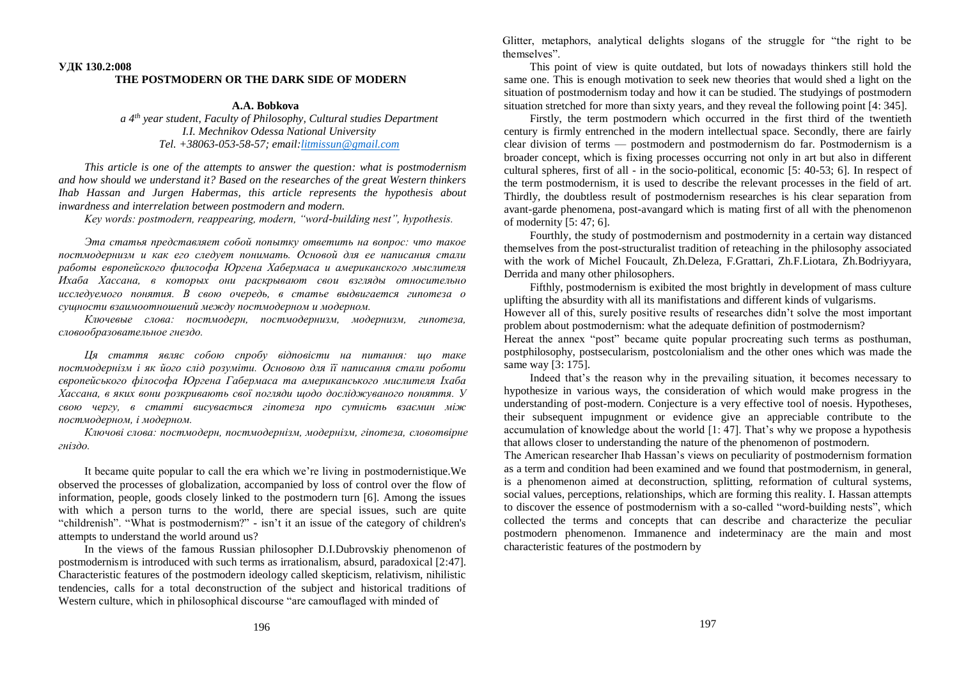## **УДК 130.2:008 THE POSTMODERN OR THE DARK SIDE OF MODERN**

## **A.A. Bobkova**

*a 4th year student, Faculty of Philosophy, Cultural studies Department I.I. Mechnikov Odessa National University Tel. +38063-053-58-57; email[:litmissun@gmail.com](mailto:litmissun@gmail.com)*

*This article is one of the attempts to answer the question: what is postmodernism and how should we understand it? Based on the researches of the great Western thinkers Ihab Hassan and Jurgen Habermas, this article represents the hypothesis about inwardness and interrelation between postmodern and modern.*

*Key words: postmodern, reappearing, modern, "word-building nest", hypothesis.*

*Эта статья представляет собой попытку ответить на вопрос: что такое постмодернизм и как его следует понимать. Основой для ее написания стали работы европейского философа Юргена Хабермаса и американского мыслителя Ихаба Хассана, в которых они раскрывают свои взгляды относительно исследуемого понятия. В свою очередь, в статье выдвигается гипотеза о сущности взаимоотношений между постмодерном и модерном.*

*Ключевые слова: постмодерн, постмодернизм, модернизм, гипотеза, словообразовательное гнездо.*

*Ця стаття являє собою спробу відповісти на питання: що таке постмодернізм і як його слід розуміти. Основою для її написання стали роботи європейського філософа Юргена Габермаса та американського мислителя Іхаба Хассана, в яких вони розкривають свої погляди щодо досліджуваного поняття. У свою чергу, в статті висувається гіпотеза про сутність взаємин між постмодерном, і модерном.*

*Ключові слова: постмодерн, постмодернізм, модернізм, гіпотеза, словотвірне гніздо.*

It became quite popular to call the era which we're living in postmodernistique.We observed the processes of globalization, accompanied by loss of control over the flow of information, people, goods closely linked to the postmodern turn [6]. Among the issues with which a person turns to the world, there are special issues, such are quite "childrenish". "What is postmodernism?" - isn't it an issue of the category of children's attempts to understand the world around us?

In the views of the famous Russian philosopher D.I.Dubrovskiy phenomenon of postmodernism is introduced with such terms as irrationalism, absurd, paradoxical [2:47]. Characteristic features of the postmodern ideology called skepticism, relativism, nihilistic tendencies, calls for a total deconstruction of the subject and historical traditions of Western culture, which in philosophical discourse "are camouflaged with minded of

Glitter, metaphors, analytical delights slogans of the struggle for "the right to be themselves".

This point of view is quite outdated, but lots of nowadays thinkers still hold the same one. This is enough motivation to seek new theories that would shed a light on the situation of postmodernism today and how it can be studied. The studyings of postmodern situation stretched for more than sixty years, and they reveal the following point [4: 345].

Firstly, the term postmodern which occurred in the first third of the twentieth century is firmly entrenched in the modern intellectual space. Secondly, there are fairly clear division of terms — postmodern and postmodernism do far. Postmodernism is a broader concept, which is fixing processes occurring not only in art but also in different cultural spheres, first of all - in the socio-political, economic [5: 40-53; 6]. In respect of the term postmodernism, it is used to describe the relevant processes in the field of art. Thirdly, the doubtless result of postmodernism researches is his clear separation from avant-garde phenomena, post-avangard which is mating first of all with the phenomenon of modernity [5: 47; 6].

Fourthly, the study of postmodernism and postmodernity in a certain way distanced themselves from the post-structuralist tradition of reteaching in the philosophy associated with the work of Michel Foucault, Zh.Deleza, F.Grattari, Zh.F.Liotara, Zh.Bodriyyara, Derrida and many other philosophers.

Fifthly, postmodernism is exibited the most brightly in development of mass culture uplifting the absurdity with all its manifistations and different kinds of vulgarisms. However all of this, surely positive results of researches didn't solve the most important problem about postmodernism: what the adequate definition of postmodernism?

Hereat the annex "post" became quite popular procreating such terms as posthuman, postphilosophy, postsecularism, postcolonialism and the other ones which was made the same way [3: 175].

Indeed that's the reason why in the prevailing situation, it becomes necessary to hypothesize in various ways, the consideration of which would make progress in the understanding of post-modern. Conjecture is a very effective tool of noesis. Hypotheses, their subsequent impugnment or evidence give an appreciable contribute to the accumulation of knowledge about the world [1: 47]. That's why we propose a hypothesis that allows closer to understanding the nature of the phenomenon of postmodern.

The American researcher Ihab Hassan's views on peculiarity of postmodernism formation as a term and condition had been examined and we found that postmodernism, in general, is a phenomenon aimed at deconstruction, splitting, reformation of cultural systems, social values, perceptions, relationships, which are forming this reality. I. Hassan attempts to discover the essence of postmodernism with a so-called "word-building nests", which collected the terms and concepts that can describe and characterize the peculiar postmodern phenomenon. Immanence and indeterminacy are the main and most characteristic features of the postmodern by